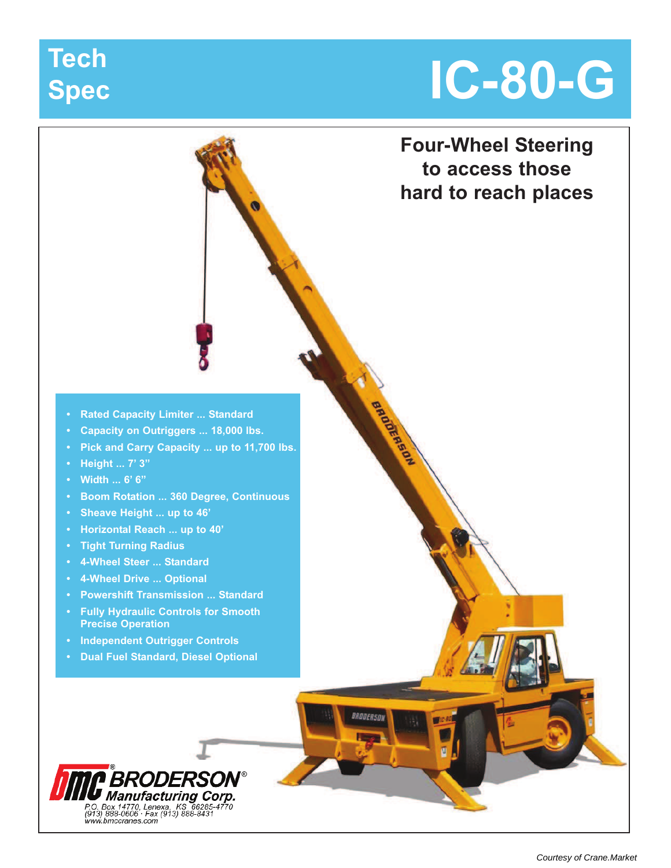# **Spec**

# **IC-80-G Tech**

**Four-Wheel Steering to access those hard to reach places**

BROOKRASON

BRODEASOL

- **Rated Capacity Limiter ... Standard**
- **Capacity on Outriggers ... 18,000 lbs.**
- **Pick and Carry Capacity ... up to 11,700 lbs.**
- **Height ... 7' 3"**
- **Width ... 6' 6"**
- **Boom Rotation ... 360 Degree, Continuous**
- **Sheave Height ... up to 46'**
- **Horizontal Reach ... up to 40'**
- **Tight Turning Radius**
- **4-Wheel Steer ... Standard**
- **4-Wheel Drive ... Optional**
- **Powershift Transmission ... Standard**
- **Fully Hydraulic Controls for Smooth Precise Operation**
- **Independent Outrigger Controls**
- **Dual Fuel Standard, Diesel Optional**

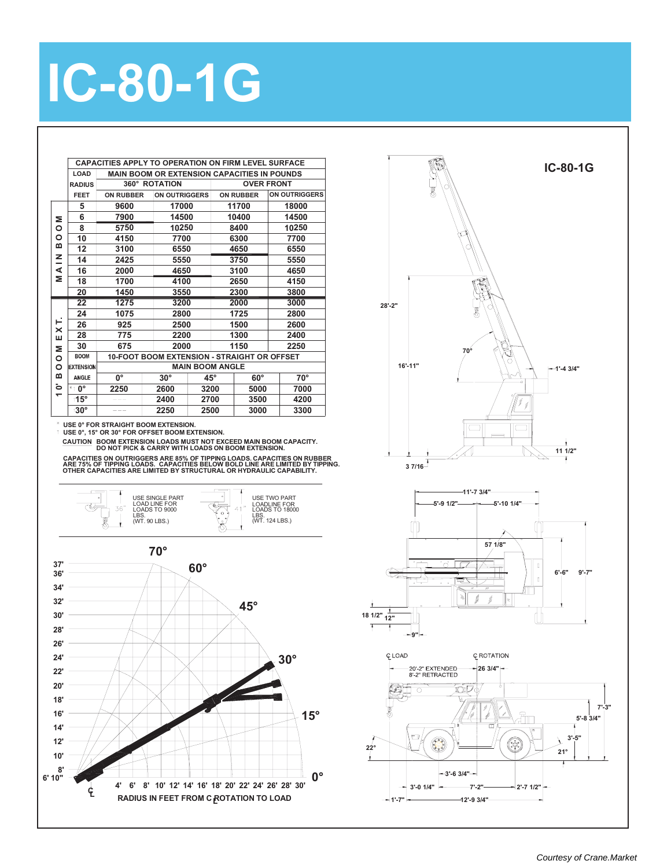

**BOOM EXTENSION LOADS MUST NOT EXCEED MAIN BOOM CAPACITY. DO NOT PICK & CARRY WITH LOADS ON BOOM EXTENSION. CAUTION**



**USE 0°, 15° OR 30° FOR OFFSET BOOM EXTENSION.**

**ARE 75% OF TIPPING LOADS. CAPACITIES BELOW BOLD LINE ARE LIMITED BY TIPPING. OTHER CAPACITIES ARE LIMITED BY STRUCTURAL OR HYDRAULIC CAPABILITY. CAPACITIES ON OUTRIGGERS ARE 85% OF TIPPING LOADS. CAPACITIES ON RUBBER** 







**IC-80-1G**

**1'-7" 12'-9 3/4"**

## **IC-80-1G**

**LOAD**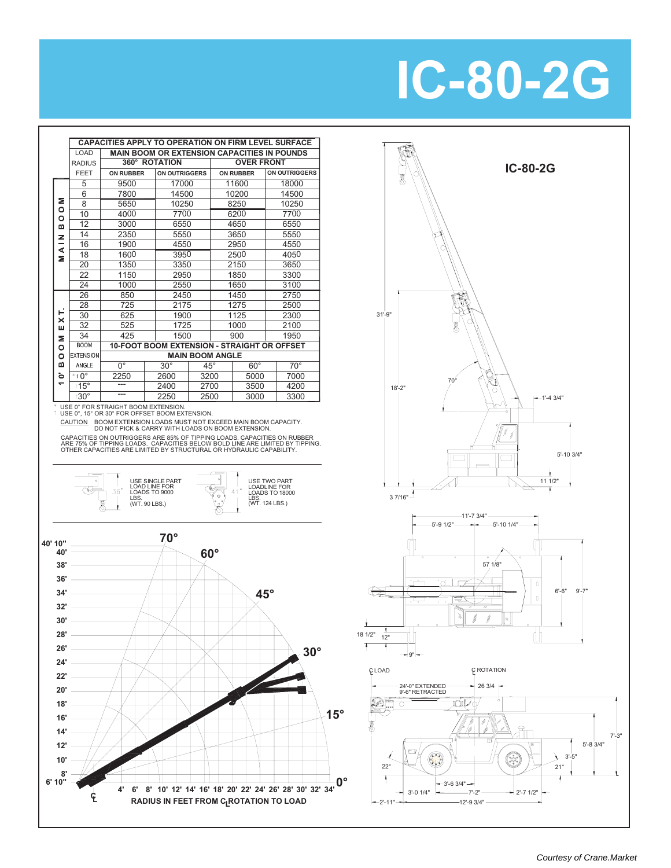## **IC-80-2G**

|                          |                   | <b>CAPACITIES APPLY TO OPERATION ON FIRM LEVEL SURFACE</b> |                                                    |              |  |                   |  |                      |
|--------------------------|-------------------|------------------------------------------------------------|----------------------------------------------------|--------------|--|-------------------|--|----------------------|
|                          | LOAD              |                                                            | <b>MAIN BOOM OR EXTENSION CAPACITIES IN POUNDS</b> |              |  |                   |  |                      |
|                          | <b>RADIUS</b>     | 360° ROTATION                                              |                                                    |              |  | <b>OVER FRONT</b> |  |                      |
|                          | FEET              | <b>ON RUBBER</b>                                           | <b>ON OUTRIGGERS</b>                               |              |  | <b>ON RUBBER</b>  |  | <b>ON OUTRIGGERS</b> |
|                          | 5                 | 9500                                                       | 17000                                              |              |  | 11600             |  | 18000                |
|                          | 6                 | 7800                                                       | 14500                                              |              |  | 10200             |  | 14500                |
| Σ                        | 8                 | 5650                                                       | 10250                                              |              |  | 8250              |  | 10250                |
| $\circ$<br>$\circ$       | 10                | 4000                                                       | 7700                                               |              |  | 6200              |  | 7700                 |
| m                        | 12                | 3000                                                       | 6550                                               |              |  | 4650              |  | 6550                 |
| z                        | 14                | 2350                                                       | 5550                                               |              |  | 3650              |  | 5550                 |
|                          | 16                | 1900                                                       | 4550                                               |              |  | 2950              |  | 4550                 |
| ⋖<br>Σ                   | 18                | 1600                                                       | 3950                                               |              |  | 2500              |  | 4050                 |
|                          | 20                | 1350                                                       | 3350                                               |              |  | 2150              |  | 3650                 |
|                          | 22                | 1150                                                       | 2950                                               |              |  | 1850              |  | 3300                 |
|                          | 24                | 1000                                                       | 2550                                               |              |  | 1650              |  | 3100                 |
|                          | 26                | 850                                                        | 2450                                               |              |  | 1450              |  | 2750                 |
|                          | 28                | 725                                                        | 2175                                               |              |  | 1275              |  | 2500                 |
| ⊢<br>×                   | 30                | 625                                                        | 1900                                               |              |  | 1125              |  | 2300                 |
| ш                        | 32                | 525                                                        | 1725                                               |              |  | 1000              |  | 2100                 |
| Σ                        | 34                | 425                                                        | 1500                                               |              |  | 900               |  | 1950                 |
| $\circ$                  | <b>BOOM</b>       | 10-FOOT BOOM EXTENSION - STRAIGHT OR OFFSET                |                                                    |              |  |                   |  |                      |
| O                        | <b>EXTENSION</b>  |                                                            | <b>MAIN BOOM ANGLE</b>                             |              |  |                   |  |                      |
| m                        | ANGLE             | $0^{\circ}$                                                | $30^\circ$                                         | $45^{\circ}$ |  | $60^\circ$        |  | $70^{\circ}$         |
| ö                        | $*$ t $0^{\circ}$ | 2250                                                       | 2600                                               | 3200         |  | 5000              |  | 7000                 |
| $\overline{\phantom{0}}$ | $115^\circ$       |                                                            | 2400                                               | 2700         |  | 3500              |  | 4200                 |
|                          | t30°              |                                                            | 2250                                               | 2500         |  | 3000              |  | 3300                 |

USE 0° FOR STRAIGHT BOOM EXTENSION. USE 0°, 15° OR 30° FOR OFFSET BOOM EXTENSION.

CAUTION BOOM EXTENSION LOADS MUST NOT EXCEED MAIN BOOM CAPACITY.<br>DO NOT PICK & CARRY WITH LOADS ON BOOM EXTENSION.

 CAPACITIES ON OUTRIGGERS ARE 85% OF TIPPING LOADS. CAPACITIES ON RUBBER ARE 75% OF TIPPING LOADS. CAPACITIES BELOW BOLD LINE ARE LIMITED BY TIPPING.<br>OTHER CAPACITIES ARE LIMITED BY STRUCTURAL OR HYDRAULIC CAPABILITY.



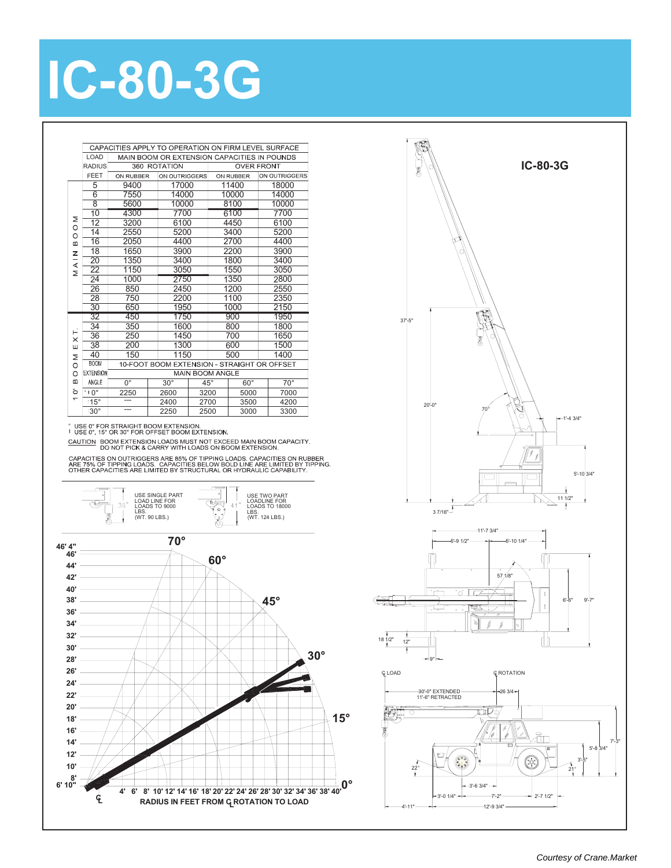

CAUTION BOOM EXTENSION LOADS MUST NOT EXCEED MAIN BOOM CAPACITY.<br>CAUTION BOOM EXTENSION LOADS MUST NOT EXCEED MAIN BOOM CAPACITY.<br>DO NOT PICK & CARRY WITH LOADS ON BOOM EXTENSION. CAPACITIES ON OUTRIGGERS ARE 85% OF TIPPING LOADS. CAPACITIES ON RUBBER<br>ARE 75% OF TIPPING LOADS. CAPACITIES BELOW BOLD LINE ARE LIMITED BY TIPPING.<br>OTHER CAPACITIES ARE LIMITED BY STRUCTURAL OR HYDRAULIC CAPABILITY.

\* USE 0° FOR STRAIGHT BOOM EXTENSION.<br>† USE 0°, 15° OR 30° FOR OFFSET BOOM EXTENSION.

2250 30° --- 3300 2500 3000

 $\overline{B}$ 16 2050 4400 4400 2700 18 1650 3900 3900 MAIN 2200 1350 3400 1800 3400 20 22 1150 3050 1550 3050 24 1000 1350 2800 2750 26 850 1200 2550 2450 28 750 2200 1100 2350  $1000$ 2150 30 1950 650 1750  $\frac{1}{900}$ 32 450 1950 34 350 1600 800 1800 36 250 1450 700 1650  $\times$ 38 200 1300 600 1500  $\sqcup$ 40 150 1150 500 1400  $\mathord{\Xi}$ **BOOM** 10-FOOT BOOM EXTENSION - STRAIGHT OR OFFSET  $\circ$ **XTENSION MAIN BOOM ANGLE**  $\circ$  $\Omega$ ANGLE 45° 70°  $0^{\circ}$ 30° 60°  $\ddot{\circ}$ \*† 0° 2600 3200 5000 7000  $\frac{2250}{11}$ 15° 2400 2700 3500 4200

10000 14000 17000

6100 7700

5200 3400

ON RUBBER ON OUTRIGGERS

14 2550

 $\geq$  $\circ$ 

## **IC-80-3G** CAPACITIES APPLY TO OPERATION ON FIRM LEVEL SURFACE LOAD MAIN BOOM OR EXTENSION CAPACITIES IN POUNDS RADIUS 360 ROTATION **OVER FRONT**

ON RUBBER ON OUTRIGGERS

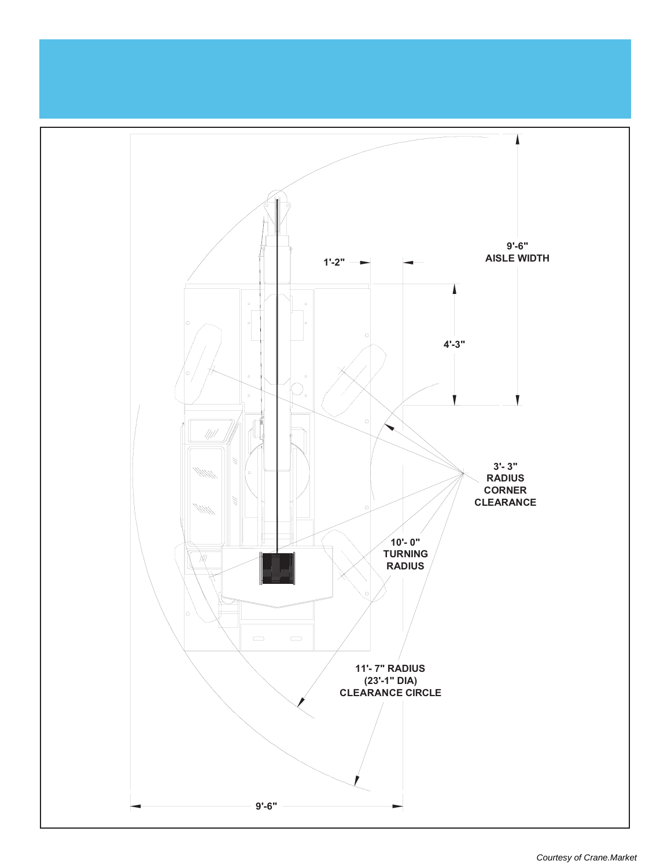

[Courtesy of Crane.Market](https://crane.market)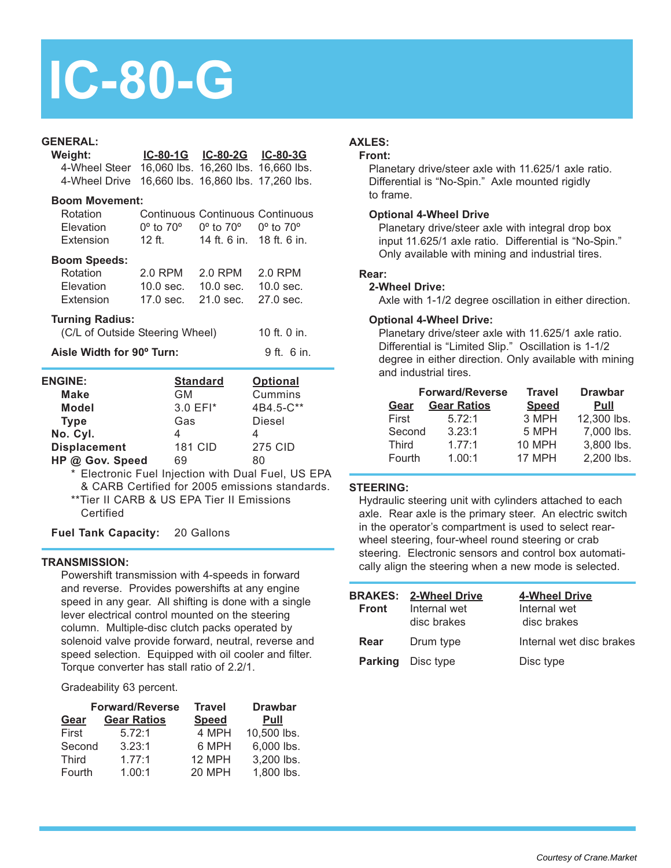## **IC-80-G**

#### **GENERAL:**

| Weight:                                           |                                                                   | IC-80-1G IC-80-2G IC-80-3G |                                     |
|---------------------------------------------------|-------------------------------------------------------------------|----------------------------|-------------------------------------|
| 4-Wheel Steer 16,060 lbs. 16,260 lbs. 16,660 lbs. |                                                                   |                            |                                     |
| 4-Wheel Drive                                     |                                                                   |                            | 16,660 lbs. 16,860 lbs. 17,260 lbs. |
| <b>Boom Movement:</b>                             |                                                                   |                            |                                     |
| Rotation<br>Elevation                             | $0^{\circ}$ to $70^{\circ}$ 0° to $70^{\circ}$ 0° to $70^{\circ}$ |                            | Continuous Continuous Continuous    |
| Extension 12 ft. 14 ft. 6 in. 18 ft. 6 in.        |                                                                   |                            |                                     |
| <b>Boom Speeds:</b>                               |                                                                   |                            |                                     |
| Rotation 2.0 RPM 2.0 RPM 2.0 RPM                  |                                                                   |                            |                                     |
| Elevation 10.0 sec. 10.0 sec. 10.0 sec.           |                                                                   |                            |                                     |
| Extension 17.0 sec. 21.0 sec. 27.0 sec.           |                                                                   |                            |                                     |
|                                                   |                                                                   |                            |                                     |
| <b>Turning Radius:</b>                            |                                                                   |                            |                                     |
| (C/L of Outside Steering Wheel)                   |                                                                   |                            | 10 ft. 0 in.                        |
| Aisle Width for 90° Turn:                         |                                                                   |                            | 9 ft. 6 in.                         |
| <b>ENGINE:</b>                                    |                                                                   | <u>Standard</u>            | <b>Optional</b>                     |
| <b>Make</b>                                       | <b>GM</b>                                                         |                            | Cummins                             |
| Model                                             |                                                                   | 3.0 EFI*                   | 4B4.5-C**                           |
| <b>Type</b>                                       | Gas                                                               |                            | Diesel                              |
| No. Cyl.                                          | 4                                                                 |                            | 4                                   |
| Displacement 181 CID                              |                                                                   |                            | <b>275 CID</b>                      |
| HP @ Gov. Speed                                   | 69                                                                |                            | 80                                  |

\* Electronic Fuel Injection with Dual Fuel, US EPA & CARB Certified for 2005 emissions standards. \*\*Tier II CARB & US EPA Tier II Emissions

**Certified** 

**Fuel Tank Capacity:** 20 Gallons

#### **TRANSMISSION:**

Powershift transmission with 4-speeds in forward and reverse. Provides powershifts at any engine speed in any gear. All shifting is done with a single lever electrical control mounted on the steering column. Multiple-disc clutch packs operated by solenoid valve provide forward, neutral, reverse and speed selection. Equipped with oil cooler and filter. Torque converter has stall ratio of 2.2/1.

Gradeability 63 percent.

|             | <b>Forward/Reverse</b> | <b>Travel</b> | <b>Drawbar</b> |  |
|-------------|------------------------|---------------|----------------|--|
| <b>Gear</b> | <b>Gear Ratios</b>     | <b>Speed</b>  | <b>Pull</b>    |  |
| First       | 5.72:1                 | 4 MPH         | 10,500 lbs.    |  |
| Second      | 3.23:1                 | 6 MPH         | 6,000 lbs.     |  |
| Third       | 1.77:1                 | 12 MPH        | 3,200 lbs.     |  |
| Fourth      | 1.00:1                 | 20 MPH        | 1,800 lbs.     |  |

## **AXLES:**

#### **Front:**

Planetary drive/steer axle with 11.625/1 axle ratio. Differential is "No-Spin." Axle mounted rigidly to frame.

#### **Optional 4-Wheel Drive**

Planetary drive/steer axle with integral drop box input 11.625/1 axle ratio. Differential is "No-Spin." Only available with mining and industrial tires.

#### **Rear:**

#### **2-Wheel Drive:**

Axle with 1-1/2 degree oscillation in either direction.

#### **Optional 4-Wheel Drive:**

Planetary drive/steer axle with 11.625/1 axle ratio. Differential is "Limited Slip." Oscillation is 1-1/2 degree in either direction. Only available with mining and industrial tires.

|              | <b>Forward/Reverse</b> | <b>Travel</b> | <b>Drawbar</b> |  |
|--------------|------------------------|---------------|----------------|--|
| <b>Gear</b>  | <b>Gear Ratios</b>     | <b>Speed</b>  | Pull           |  |
| First        | 5.72:1                 | 3 MPH         | 12,300 lbs.    |  |
| Second       | 3.23:1                 | 5 MPH         | 7,000 lbs.     |  |
| <b>Third</b> | 1.77:1                 | <b>10 MPH</b> | 3,800 lbs.     |  |
| Fourth       | 1.00:1                 | 17 MPH        | 2,200 lbs.     |  |

#### **STEERING:**

Hydraulic steering unit with cylinders attached to each axle. Rear axle is the primary steer. An electric switch in the operator's compartment is used to select rearwheel steering, four-wheel round steering or crab steering. Electronic sensors and control box automatically align the steering when a new mode is selected.

| Front | <b>BRAKES: 2-Wheel Drive</b><br>Internal wet<br>disc brakes | <b>4-Wheel Drive</b><br>Internal wet<br>disc brakes |
|-------|-------------------------------------------------------------|-----------------------------------------------------|
| Rear  | Drum type                                                   | Internal wet disc brakes                            |
|       | <b>Parking</b> Disc type                                    | Disc type                                           |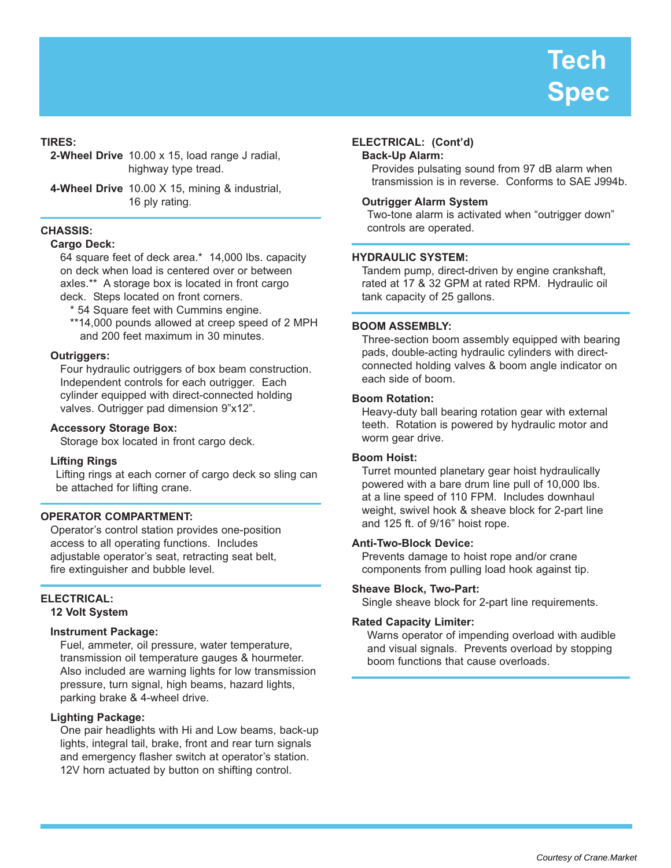#### **TIRES:**

**2-Wheel Drive** 10.00 x 15, load range J radial, highway type tread.

**4-Wheel Drive** 10.00 X 15, mining & industrial, 16 ply rating.

#### **CHASSIS:**

#### **Cargo Deck:**

64 square feet of deck area.\* 14,000 lbs. capacity on deck when load is centered over or between axles.\*\* A storage box is located in front cargo deck. Steps located on front corners.

\* 54 Square feet with Cummins engine.

\*\*14,000 pounds allowed at creep speed of 2 MPH and 200 feet maximum in 30 minutes.

#### **Outriggers:**

Four hydraulic outriggers of box beam construction. Independent controls for each outrigger. Each cylinder equipped with direct-connected holding valves. Outrigger pad dimension 9"x12".

#### **Accessory Storage Box:**

Storage box located in front cargo deck.

#### **Lifting Rings**

Lifting rings at each corner of cargo deck so sling can be attached for lifting crane.

#### **OPERATOR COMPARTMENT:**

Operator's control station provides one-position access to all operating functions. Includes adjustable operator's seat, retracting seat belt, fire extinguisher and bubble level.

#### **ELECTRICAL: 12 Volt System**

#### **Instrument Package:**

Fuel, ammeter, oil pressure, water temperature, transmission oil temperature gauges & hourmeter. Also included are warning lights for low transmission pressure, turn signal, high beams, hazard lights, parking brake & 4-wheel drive.

#### **Lighting Package:**

One pair headlights with Hi and Low beams, back-up lights, integral tail, brake, front and rear turn signals and emergency flasher switch at operator's station. 12V horn actuated by button on shifting control.

#### **ELECTRICAL: (Cont'd)**

#### **Back-Up Alarm:**

Provides pulsating sound from 97 dB alarm when transmission is in reverse. Conforms to SAE J994b.

#### **Outrigger Alarm System**

Two-tone alarm is activated when "outrigger down" controls are operated.

#### **HYDRAULIC SYSTEM:**

Tandem pump, direct-driven by engine crankshaft, rated at 17 & 32 GPM at rated RPM. Hydraulic oil tank capacity of 25 gallons.

#### **BOOM ASSEMBLY:**

Three-section boom assembly equipped with bearing pads, double-acting hydraulic cylinders with directconnected holding valves & boom angle indicator on each side of boom.

#### **Boom Rotation:**

Heavy-duty ball bearing rotation gear with external teeth. Rotation is powered by hydraulic motor and worm gear drive.

#### **Boom Hoist:**

Turret mounted planetary gear hoist hydraulically powered with a bare drum line pull of 10,000 lbs. at a line speed of 110 FPM. Includes downhaul weight, swivel hook & sheave block for 2-part line and 125 ft. of 9/16" hoist rope.

#### **Anti-Two-Block Device:**

Prevents damage to hoist rope and/or crane components from pulling load hook against tip.

#### **Sheave Block, Two-Part:**

Single sheave block for 2-part line requirements.

#### **Rated Capacity Limiter:**

Warns operator of impending overload with audible and visual signals. Prevents overload by stopping boom functions that cause overloads.